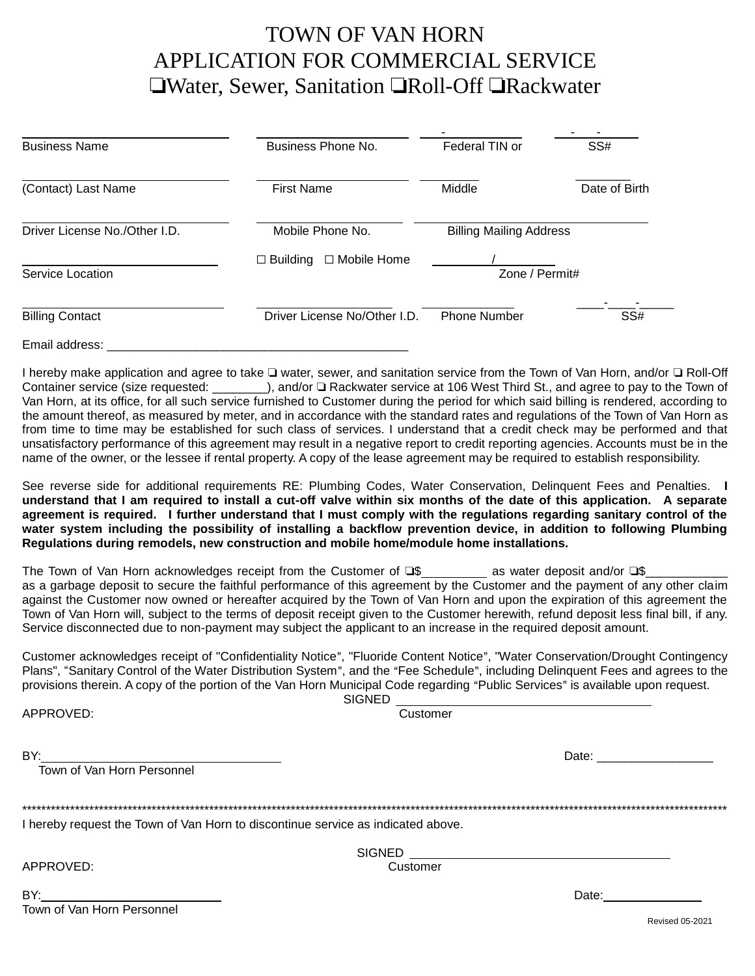### TOWN OF VAN HORN APPLICATION FOR COMMERCIAL SERVICE **Water, Sewer, Sanitation TRoll-Off TRackwater**

| <b>Business Name</b>          | Business Phone No.                  | Federal TIN or                 | SS#           |
|-------------------------------|-------------------------------------|--------------------------------|---------------|
| (Contact) Last Name           | <b>First Name</b>                   | Middle                         | Date of Birth |
| Driver License No./Other I.D. | Mobile Phone No.                    | <b>Billing Mailing Address</b> |               |
| Service Location              | $\Box$ Mobile Home<br>Building<br>П | Zone / Permit#                 |               |
| <b>Billing Contact</b>        | Driver License No/Other I.D.        | <b>Phone Number</b>            | SS#           |
| Email address:                |                                     |                                |               |

I hereby make application and agree to take I water, sewer, and sanitation service from the Town of Van Horn, and/or I Roll-Off Container service (size requested: \_\_\_\_\_\_\_), and/or  $\Box$  Rackwater service at 106 West Third St., and agree to pay to the Town of Van Horn, at its office, for all such service furnished to Customer during the period for which said billing is rendered, according to the amount thereof, as measured by meter, and in accordance with the standard rates and regulations of the Town of Van Horn as from time to time may be established for such class of services. I understand that a credit check may be performed and that unsatisfactory performance of this agreement may result in a negative report to credit reporting agencies. Accounts must be in the name of the owner, or the lessee if rental property. A copy of the lease agreement may be required to establish responsibility.

See reverse side for additional requirements RE: Plumbing Codes, Water Conservation, Delinquent Fees and Penalties. **I understand that I am required to install a cut-off valve within six months of the date of this application. A separate agreement is required. I further understand that I must comply with the regulations regarding sanitary control of the water system including the possibility of installing a backflow prevention device, in addition to following Plumbing Regulations during remodels, new construction and mobile home/module home installations.**

The Town of Van Horn acknowledges receipt from the Customer of  $\square$ \$ as water deposit and/or  $\square$ \$ as a garbage deposit to secure the faithful performance of this agreement by the Customer and the payment of any other claim against the Customer now owned or hereafter acquired by the Town of Van Horn and upon the expiration of this agreement the Town of Van Horn will, subject to the terms of deposit receipt given to the Customer herewith, refund deposit less final bill, if any. Service disconnected due to non-payment may subject the applicant to an increase in the required deposit amount.

Customer acknowledges receipt of "Confidentiality Notice", "Fluoride Content Notice", "Water Conservation/Drought Contingency Plans", "Sanitary Control of the Water Distribution System", and the "Fee Schedule", including Delinquent Fees and agrees to the provisions therein. A copy of the portion of the Van Horn Municipal Code regarding "Public Services" is available upon request.

APPROVED: Customer

SIGNED

BY: Date: \_\_\_\_\_\_\_\_\_\_\_\_\_\_\_\_\_ : ...<br>Town of Van Horn Personnel \*\*\*\*\*\*\*\*\*\*\*\*\*\*\*\*\*\*\*\*\*\*\*\*\*\*\*\*\*\*\*\*\*\*\*\*\*\*\*\*\*\*\*\*\*\*\*\*\*\*\*\*\*\*\*\*\*\*\*\*\*\*\*\*\*\*\*\*\*\*\*\*\*\*\*\*\*\*\*\*\*\*\*\*\*\*\*\*\*\*\*\*\*\*\*\*\*\*\*\*\*\*\*\*\*\*\*\*\*\*\*\*\*\*\*\*\*\*\*\*\*\*\*\*\*\*\*\*\*\*\*\*\*\*\*\*\*\*\*\*\*\*\*\*\*\*\* I hereby request the Town of Van Horn to discontinue service as indicated above. **SIGNED** APPROVED: Customer BY: Date: Town of Van Horn Personnel

Revised 05-2021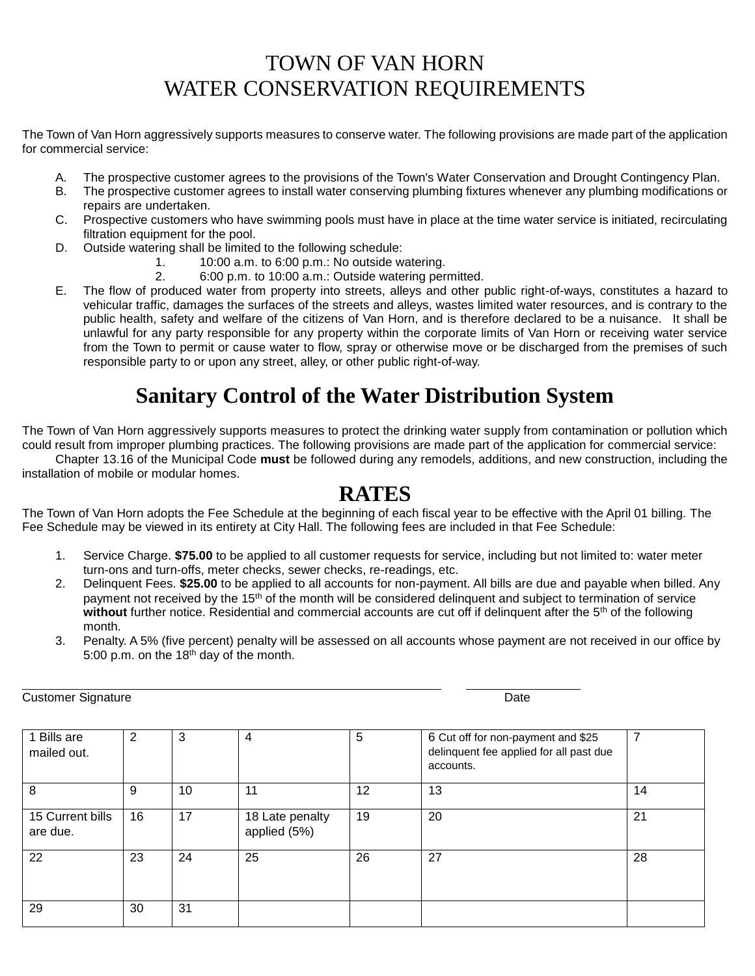# TOWN OF VAN HORN WATER CONSERVATION REQUIREMENTS

The Town of Van Horn aggressively supports measures to conserve water. The following provisions are made part of the application for commercial service:

- A. The prospective customer agrees to the provisions of the Town's Water Conservation and Drought Contingency Plan.
- B. The prospective customer agrees to install water conserving plumbing fixtures whenever any plumbing modifications or repairs are undertaken.
- C. Prospective customers who have swimming pools must have in place at the time water service is initiated, recirculating filtration equipment for the pool.
- D. Outside watering shall be limited to the following schedule:
	- 1. 10:00 a.m. to 6:00 p.m.: No outside watering.
	- 2. 6:00 p.m. to 10:00 a.m.: Outside watering permitted.
- E. The flow of produced water from property into streets, alleys and other public right-of-ways, constitutes a hazard to vehicular traffic, damages the surfaces of the streets and alleys, wastes limited water resources, and is contrary to the public health, safety and welfare of the citizens of Van Horn, and is therefore declared to be a nuisance. It shall be unlawful for any party responsible for any property within the corporate limits of Van Horn or receiving water service from the Town to permit or cause water to flow, spray or otherwise move or be discharged from the premises of such responsible party to or upon any street, alley, or other public right-of-way.

# **Sanitary Control of the Water Distribution System**

The Town of Van Horn aggressively supports measures to protect the drinking water supply from contamination or pollution which could result from improper plumbing practices. The following provisions are made part of the application for commercial service:

Chapter 13.16 of the Municipal Code **must** be followed during any remodels, additions, and new construction, including the installation of mobile or modular homes.

### **RATES**

The Town of Van Horn adopts the Fee Schedule at the beginning of each fiscal year to be effective with the April 01 billing. The Fee Schedule may be viewed in its entirety at City Hall. The following fees are included in that Fee Schedule:

- 1. Service Charge. **\$75.00** to be applied to all customer requests for service, including but not limited to: water meter turn-ons and turn-offs, meter checks, sewer checks, re-readings, etc.
- 2. Delinquent Fees. **\$25.00** to be applied to all accounts for non-payment. All bills are due and payable when billed. Any payment not received by the 15<sup>th</sup> of the month will be considered delinguent and subject to termination of service without further notice. Residential and commercial accounts are cut off if delinguent after the 5<sup>th</sup> of the following month.
- 3. Penalty. A 5% (five percent) penalty will be assessed on all accounts whose payment are not received in our office by 5:00 p.m. on the 18th day of the month.

Customer Signature **Date** Date of Customer Signature **Date** 

| 1 Bills are<br>mailed out.   | 2  | 3  | 4                               | 5  | 6 Cut off for non-payment and \$25<br>delinquent fee applied for all past due<br>accounts. | $\overline{7}$ |
|------------------------------|----|----|---------------------------------|----|--------------------------------------------------------------------------------------------|----------------|
| 8                            | 9  | 10 | 11                              | 12 | 13                                                                                         | 14             |
| 15 Current bills<br>are due. | 16 | 17 | 18 Late penalty<br>applied (5%) | 19 | 20                                                                                         | 21             |
| 22                           | 23 | 24 | 25                              | 26 | 27                                                                                         | 28             |
| 29                           | 30 | 31 |                                 |    |                                                                                            |                |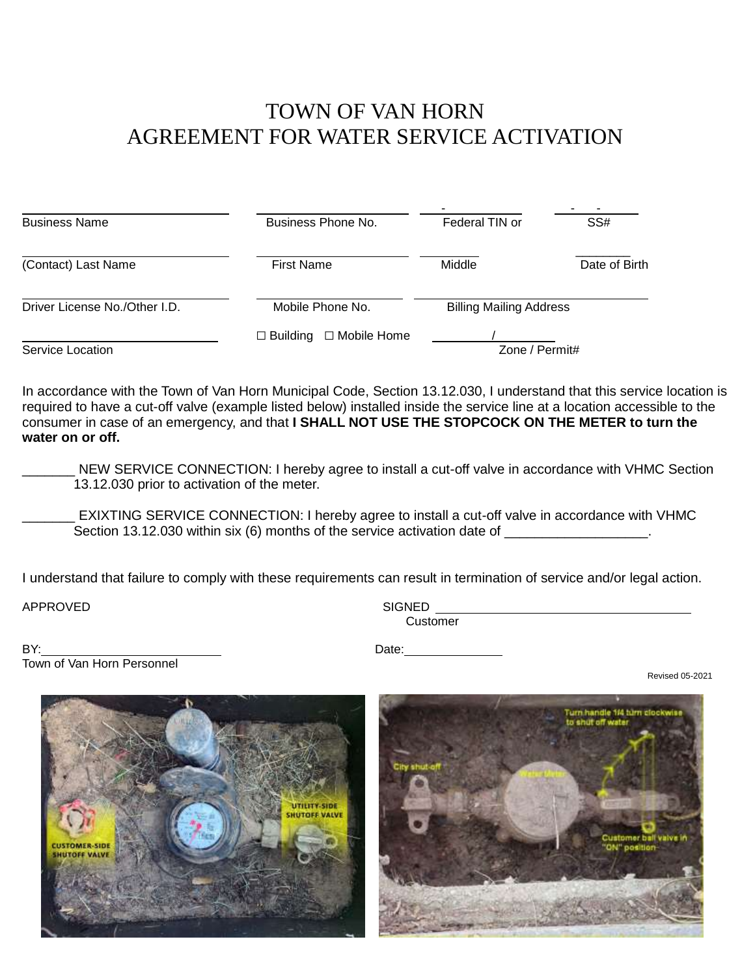## TOWN OF VAN HORN AGREEMENT FOR WATER SERVICE ACTIVATION

| <b>Business Name</b>          | Business Phone No.               | Federal TIN or                 | SS#           |
|-------------------------------|----------------------------------|--------------------------------|---------------|
| (Contact) Last Name           | <b>First Name</b>                | Middle                         | Date of Birth |
| Driver License No./Other I.D. | Mobile Phone No.                 | <b>Billing Mailing Address</b> |               |
| Service Location              | □ Mobile Home<br>$\Box$ Building | Zone / Permit#                 |               |

In accordance with the Town of Van Horn Municipal Code, Section 13.12.030, I understand that this service location is required to have a cut-off valve (example listed below) installed inside the service line at a location accessible to the consumer in case of an emergency, and that **I SHALL NOT USE THE STOPCOCK ON THE METER to turn the water on or off.**

NEW SERVICE CONNECTION: I hereby agree to install a cut-off valve in accordance with VHMC Section 13.12.030 prior to activation of the meter.

EXIXTING SERVICE CONNECTION: I hereby agree to install a cut-off valve in accordance with VHMC Section 13.12.030 within six (6) months of the service activation date of

I understand that failure to comply with these requirements can result in termination of service and/or legal action.

**APPROVED** 

| SIGNED   |  |
|----------|--|
| Customer |  |

BY: Date: Town of Van Horn Personnel

Revised 05-2021



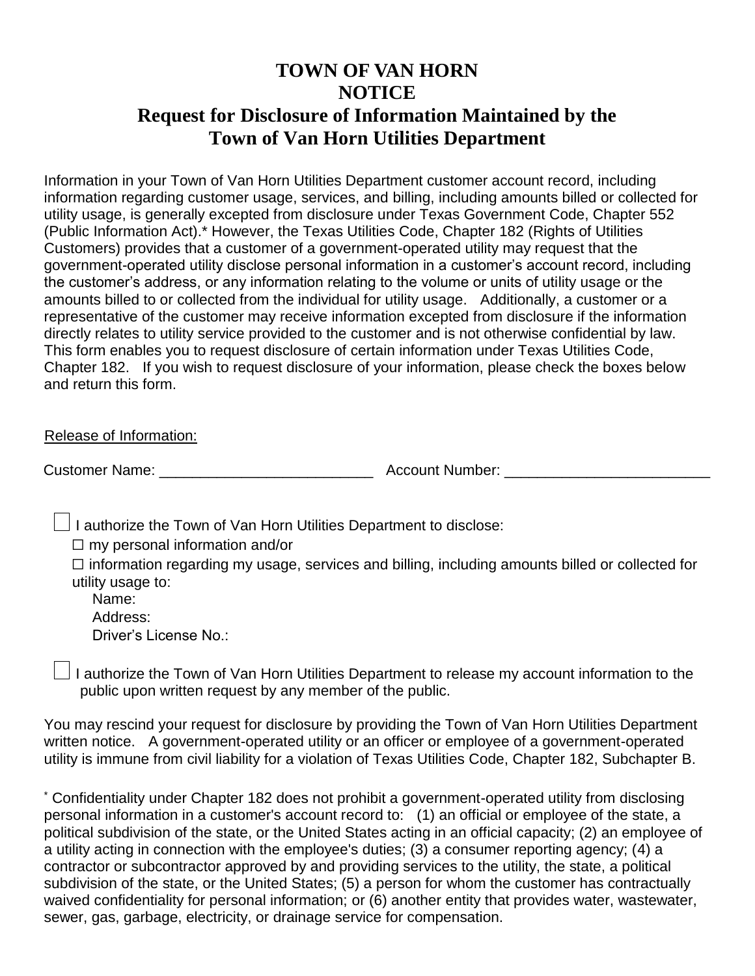### **TOWN OF VAN HORN NOTICE Request for Disclosure of Information Maintained by the Town of Van Horn Utilities Department**

Information in your Town of Van Horn Utilities Department customer account record, including information regarding customer usage, services, and billing, including amounts billed or collected for utility usage, is generally excepted from disclosure under Texas Government Code, Chapter 552 (Public Information Act).\* However, the Texas Utilities Code, Chapter 182 (Rights of Utilities Customers) provides that a customer of a government-operated utility may request that the government-operated utility disclose personal information in a customer's account record, including the customer's address, or any information relating to the volume or units of utility usage or the amounts billed to or collected from the individual for utility usage. Additionally, a customer or a representative of the customer may receive information excepted from disclosure if the information directly relates to utility service provided to the customer and is not otherwise confidential by law. This form enables you to request disclosure of certain information under Texas Utilities Code, Chapter 182. If you wish to request disclosure of your information, please check the boxes below and return this form.

Release of Information:

Customer Name: \_\_\_\_\_\_\_\_\_\_\_\_\_\_\_\_\_\_\_\_\_\_\_\_\_\_ Account Number: \_\_\_\_\_\_\_\_\_\_\_\_\_\_\_\_\_\_\_\_\_\_\_\_\_

 $\Box$  I authorize the Town of Van Horn Utilities Department to disclose:

 $\Box$  my personal information and/or

☐ information regarding my usage, services and billing, including amounts billed or collected for utility usage to:

 Name: Address:

Driver's License No.:

 $\Box$  I authorize the Town of Van Horn Utilities Department to release my account information to the public upon written request by any member of the public.

You may rescind your request for disclosure by providing the Town of Van Horn Utilities Department written notice. A government-operated utility or an officer or employee of a government-operated utility is immune from civil liability for a violation of Texas Utilities Code, Chapter 182, Subchapter B.

\* Confidentiality under Chapter 182 does not prohibit a government-operated utility from disclosing personal information in a customer's account record to: (1) an official or employee of the state, a political subdivision of the state, or the United States acting in an official capacity; (2) an employee of a utility acting in connection with the employee's duties; (3) a consumer reporting agency; (4) a contractor or subcontractor approved by and providing services to the utility, the state, a political subdivision of the state, or the United States; (5) a person for whom the customer has contractually waived confidentiality for personal information; or (6) another entity that provides water, wastewater, sewer, gas, garbage, electricity, or drainage service for compensation.